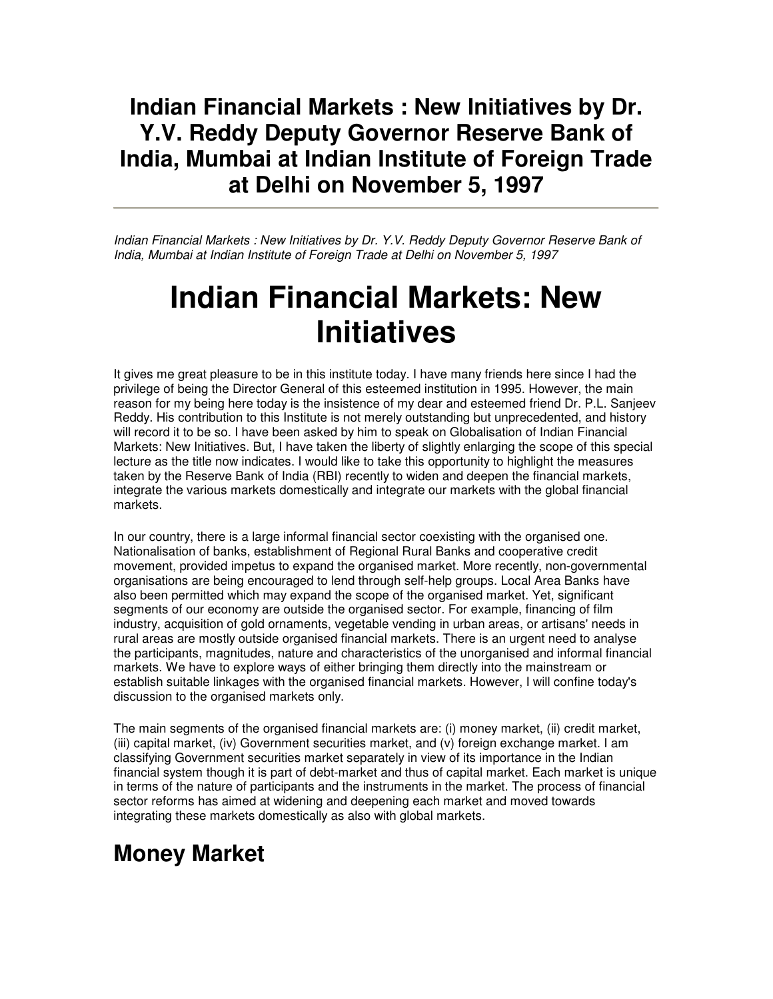#### **Indian Financial Markets : New Initiatives by Dr. Y.V. Reddy Deputy Governor Reserve Bank of India, Mumbai at Indian Institute of Foreign Trade at Delhi on November 5, 1997**

Indian Financial Markets : New Initiatives by Dr. Y.V. Reddy Deputy Governor Reserve Bank of India, Mumbai at Indian Institute of Foreign Trade at Delhi on November 5, 1997

# **Indian Financial Markets: New Initiatives**

It gives me great pleasure to be in this institute today. I have many friends here since I had the privilege of being the Director General of this esteemed institution in 1995. However, the main reason for my being here today is the insistence of my dear and esteemed friend Dr. P.L. Sanjeev Reddy. His contribution to this Institute is not merely outstanding but unprecedented, and history will record it to be so. I have been asked by him to speak on Globalisation of Indian Financial Markets: New Initiatives. But, I have taken the liberty of slightly enlarging the scope of this special lecture as the title now indicates. I would like to take this opportunity to highlight the measures taken by the Reserve Bank of India (RBI) recently to widen and deepen the financial markets, integrate the various markets domestically and integrate our markets with the global financial markets.

In our country, there is a large informal financial sector coexisting with the organised one. Nationalisation of banks, establishment of Regional Rural Banks and cooperative credit movement, provided impetus to expand the organised market. More recently, non-governmental organisations are being encouraged to lend through self-help groups. Local Area Banks have also been permitted which may expand the scope of the organised market. Yet, significant segments of our economy are outside the organised sector. For example, financing of film industry, acquisition of gold ornaments, vegetable vending in urban areas, or artisans' needs in rural areas are mostly outside organised financial markets. There is an urgent need to analyse the participants, magnitudes, nature and characteristics of the unorganised and informal financial markets. We have to explore ways of either bringing them directly into the mainstream or establish suitable linkages with the organised financial markets. However, I will confine today's discussion to the organised markets only.

The main segments of the organised financial markets are: (i) money market, (ii) credit market, (iii) capital market, (iv) Government securities market, and (v) foreign exchange market. I am classifying Government securities market separately in view of its importance in the Indian financial system though it is part of debt-market and thus of capital market. Each market is unique in terms of the nature of participants and the instruments in the market. The process of financial sector reforms has aimed at widening and deepening each market and moved towards integrating these markets domestically as also with global markets.

#### **Money Market**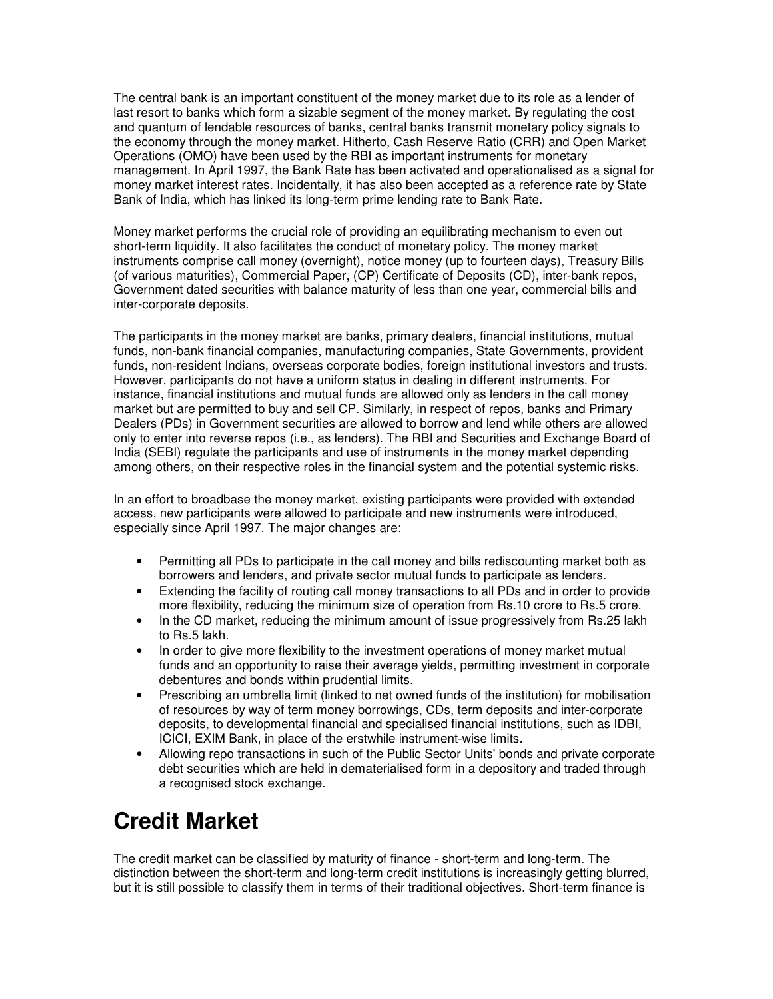The central bank is an important constituent of the money market due to its role as a lender of last resort to banks which form a sizable segment of the money market. By regulating the cost and quantum of lendable resources of banks, central banks transmit monetary policy signals to the economy through the money market. Hitherto, Cash Reserve Ratio (CRR) and Open Market Operations (OMO) have been used by the RBI as important instruments for monetary management. In April 1997, the Bank Rate has been activated and operationalised as a signal for money market interest rates. Incidentally, it has also been accepted as a reference rate by State Bank of India, which has linked its long-term prime lending rate to Bank Rate.

Money market performs the crucial role of providing an equilibrating mechanism to even out short-term liquidity. It also facilitates the conduct of monetary policy. The money market instruments comprise call money (overnight), notice money (up to fourteen days), Treasury Bills (of various maturities), Commercial Paper, (CP) Certificate of Deposits (CD), inter-bank repos, Government dated securities with balance maturity of less than one year, commercial bills and inter-corporate deposits.

The participants in the money market are banks, primary dealers, financial institutions, mutual funds, non-bank financial companies, manufacturing companies, State Governments, provident funds, non-resident Indians, overseas corporate bodies, foreign institutional investors and trusts. However, participants do not have a uniform status in dealing in different instruments. For instance, financial institutions and mutual funds are allowed only as lenders in the call money market but are permitted to buy and sell CP. Similarly, in respect of repos, banks and Primary Dealers (PDs) in Government securities are allowed to borrow and lend while others are allowed only to enter into reverse repos (i.e., as lenders). The RBI and Securities and Exchange Board of India (SEBI) regulate the participants and use of instruments in the money market depending among others, on their respective roles in the financial system and the potential systemic risks.

In an effort to broadbase the money market, existing participants were provided with extended access, new participants were allowed to participate and new instruments were introduced, especially since April 1997. The major changes are:

- Permitting all PDs to participate in the call money and bills rediscounting market both as borrowers and lenders, and private sector mutual funds to participate as lenders.
- Extending the facility of routing call money transactions to all PDs and in order to provide more flexibility, reducing the minimum size of operation from Rs.10 crore to Rs.5 crore.
- In the CD market, reducing the minimum amount of issue progressively from Rs.25 lakh to Rs.5 lakh.
- In order to give more flexibility to the investment operations of money market mutual funds and an opportunity to raise their average yields, permitting investment in corporate debentures and bonds within prudential limits.
- Prescribing an umbrella limit (linked to net owned funds of the institution) for mobilisation of resources by way of term money borrowings, CDs, term deposits and inter-corporate deposits, to developmental financial and specialised financial institutions, such as IDBI, ICICI, EXIM Bank, in place of the erstwhile instrument-wise limits.
- Allowing repo transactions in such of the Public Sector Units' bonds and private corporate debt securities which are held in dematerialised form in a depository and traded through a recognised stock exchange.

## **Credit Market**

The credit market can be classified by maturity of finance - short-term and long-term. The distinction between the short-term and long-term credit institutions is increasingly getting blurred, but it is still possible to classify them in terms of their traditional objectives. Short-term finance is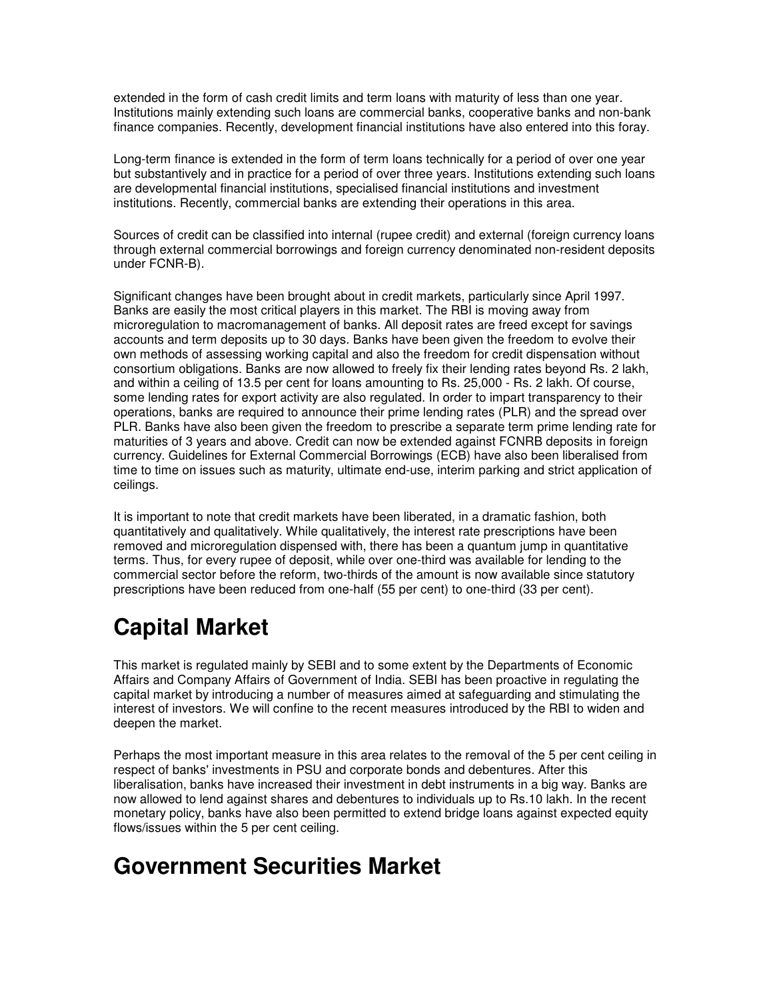extended in the form of cash credit limits and term loans with maturity of less than one year. Institutions mainly extending such loans are commercial banks, cooperative banks and non-bank finance companies. Recently, development financial institutions have also entered into this foray.

Long-term finance is extended in the form of term loans technically for a period of over one year but substantively and in practice for a period of over three years. Institutions extending such loans are developmental financial institutions, specialised financial institutions and investment institutions. Recently, commercial banks are extending their operations in this area.

Sources of credit can be classified into internal (rupee credit) and external (foreign currency loans through external commercial borrowings and foreign currency denominated non-resident deposits under FCNR-B).

Significant changes have been brought about in credit markets, particularly since April 1997. Banks are easily the most critical players in this market. The RBI is moving away from microregulation to macromanagement of banks. All deposit rates are freed except for savings accounts and term deposits up to 30 days. Banks have been given the freedom to evolve their own methods of assessing working capital and also the freedom for credit dispensation without consortium obligations. Banks are now allowed to freely fix their lending rates beyond Rs. 2 lakh, and within a ceiling of 13.5 per cent for loans amounting to Rs. 25,000 - Rs. 2 lakh. Of course, some lending rates for export activity are also regulated. In order to impart transparency to their operations, banks are required to announce their prime lending rates (PLR) and the spread over PLR. Banks have also been given the freedom to prescribe a separate term prime lending rate for maturities of 3 years and above. Credit can now be extended against FCNRB deposits in foreign currency. Guidelines for External Commercial Borrowings (ECB) have also been liberalised from time to time on issues such as maturity, ultimate end-use, interim parking and strict application of ceilings.

It is important to note that credit markets have been liberated, in a dramatic fashion, both quantitatively and qualitatively. While qualitatively, the interest rate prescriptions have been removed and microregulation dispensed with, there has been a quantum jump in quantitative terms. Thus, for every rupee of deposit, while over one-third was available for lending to the commercial sector before the reform, two-thirds of the amount is now available since statutory prescriptions have been reduced from one-half (55 per cent) to one-third (33 per cent).

# **Capital Market**

This market is regulated mainly by SEBI and to some extent by the Departments of Economic Affairs and Company Affairs of Government of India. SEBI has been proactive in regulating the capital market by introducing a number of measures aimed at safeguarding and stimulating the interest of investors. We will confine to the recent measures introduced by the RBI to widen and deepen the market.

Perhaps the most important measure in this area relates to the removal of the 5 per cent ceiling in respect of banks' investments in PSU and corporate bonds and debentures. After this liberalisation, banks have increased their investment in debt instruments in a big way. Banks are now allowed to lend against shares and debentures to individuals up to Rs.10 lakh. In the recent monetary policy, banks have also been permitted to extend bridge loans against expected equity flows/issues within the 5 per cent ceiling.

#### **Government Securities Market**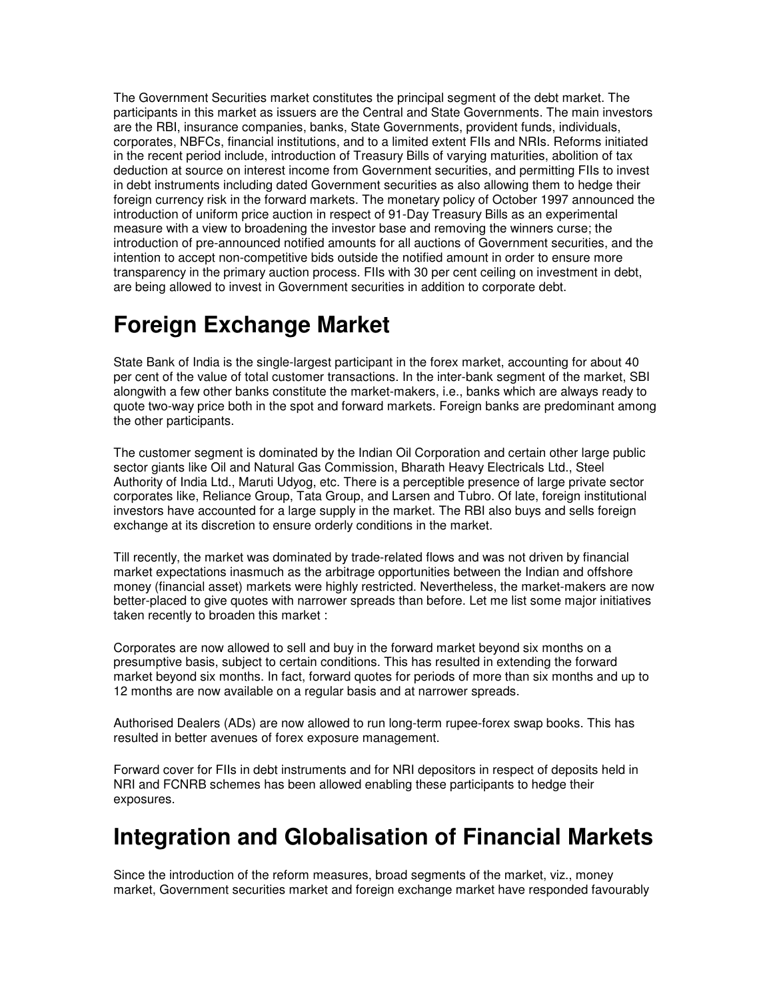The Government Securities market constitutes the principal segment of the debt market. The participants in this market as issuers are the Central and State Governments. The main investors are the RBI, insurance companies, banks, State Governments, provident funds, individuals, corporates, NBFCs, financial institutions, and to a limited extent FIIs and NRIs. Reforms initiated in the recent period include, introduction of Treasury Bills of varying maturities, abolition of tax deduction at source on interest income from Government securities, and permitting FIIs to invest in debt instruments including dated Government securities as also allowing them to hedge their foreign currency risk in the forward markets. The monetary policy of October 1997 announced the introduction of uniform price auction in respect of 91-Day Treasury Bills as an experimental measure with a view to broadening the investor base and removing the winners curse; the introduction of pre-announced notified amounts for all auctions of Government securities, and the intention to accept non-competitive bids outside the notified amount in order to ensure more transparency in the primary auction process. FIIs with 30 per cent ceiling on investment in debt, are being allowed to invest in Government securities in addition to corporate debt.

#### **Foreign Exchange Market**

State Bank of India is the single-largest participant in the forex market, accounting for about 40 per cent of the value of total customer transactions. In the inter-bank segment of the market, SBI alongwith a few other banks constitute the market-makers, i.e., banks which are always ready to quote two-way price both in the spot and forward markets. Foreign banks are predominant among the other participants.

The customer segment is dominated by the Indian Oil Corporation and certain other large public sector giants like Oil and Natural Gas Commission, Bharath Heavy Electricals Ltd., Steel Authority of India Ltd., Maruti Udyog, etc. There is a perceptible presence of large private sector corporates like, Reliance Group, Tata Group, and Larsen and Tubro. Of late, foreign institutional investors have accounted for a large supply in the market. The RBI also buys and sells foreign exchange at its discretion to ensure orderly conditions in the market.

Till recently, the market was dominated by trade-related flows and was not driven by financial market expectations inasmuch as the arbitrage opportunities between the Indian and offshore money (financial asset) markets were highly restricted. Nevertheless, the market-makers are now better-placed to give quotes with narrower spreads than before. Let me list some major initiatives taken recently to broaden this market :

Corporates are now allowed to sell and buy in the forward market beyond six months on a presumptive basis, subject to certain conditions. This has resulted in extending the forward market beyond six months. In fact, forward quotes for periods of more than six months and up to 12 months are now available on a regular basis and at narrower spreads.

Authorised Dealers (ADs) are now allowed to run long-term rupee-forex swap books. This has resulted in better avenues of forex exposure management.

Forward cover for FIIs in debt instruments and for NRI depositors in respect of deposits held in NRI and FCNRB schemes has been allowed enabling these participants to hedge their exposures.

#### **Integration and Globalisation of Financial Markets**

Since the introduction of the reform measures, broad segments of the market, viz., money market, Government securities market and foreign exchange market have responded favourably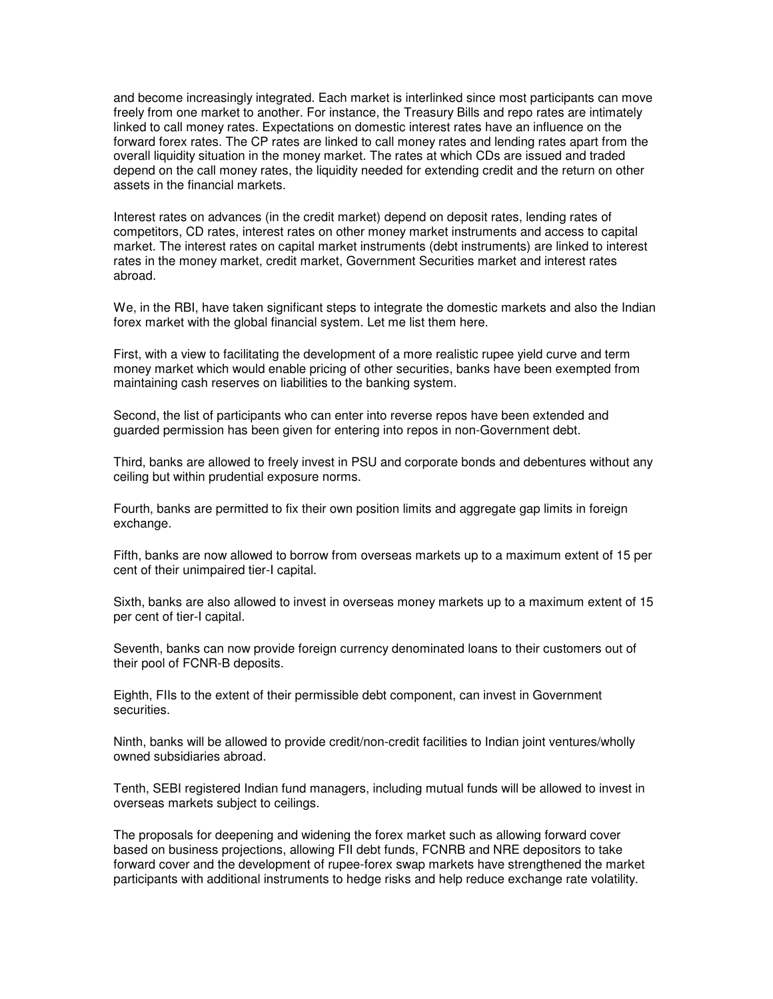and become increasingly integrated. Each market is interlinked since most participants can move freely from one market to another. For instance, the Treasury Bills and repo rates are intimately linked to call money rates. Expectations on domestic interest rates have an influence on the forward forex rates. The CP rates are linked to call money rates and lending rates apart from the overall liquidity situation in the money market. The rates at which CDs are issued and traded depend on the call money rates, the liquidity needed for extending credit and the return on other assets in the financial markets.

Interest rates on advances (in the credit market) depend on deposit rates, lending rates of competitors, CD rates, interest rates on other money market instruments and access to capital market. The interest rates on capital market instruments (debt instruments) are linked to interest rates in the money market, credit market, Government Securities market and interest rates abroad.

We, in the RBI, have taken significant steps to integrate the domestic markets and also the Indian forex market with the global financial system. Let me list them here.

First, with a view to facilitating the development of a more realistic rupee yield curve and term money market which would enable pricing of other securities, banks have been exempted from maintaining cash reserves on liabilities to the banking system.

Second, the list of participants who can enter into reverse repos have been extended and guarded permission has been given for entering into repos in non-Government debt.

Third, banks are allowed to freely invest in PSU and corporate bonds and debentures without any ceiling but within prudential exposure norms.

Fourth, banks are permitted to fix their own position limits and aggregate gap limits in foreign exchange.

Fifth, banks are now allowed to borrow from overseas markets up to a maximum extent of 15 per cent of their unimpaired tier-I capital.

Sixth, banks are also allowed to invest in overseas money markets up to a maximum extent of 15 per cent of tier-I capital.

Seventh, banks can now provide foreign currency denominated loans to their customers out of their pool of FCNR-B deposits.

Eighth, FIIs to the extent of their permissible debt component, can invest in Government securities.

Ninth, banks will be allowed to provide credit/non-credit facilities to Indian joint ventures/wholly owned subsidiaries abroad.

Tenth, SEBI registered Indian fund managers, including mutual funds will be allowed to invest in overseas markets subject to ceilings.

The proposals for deepening and widening the forex market such as allowing forward cover based on business projections, allowing FII debt funds, FCNRB and NRE depositors to take forward cover and the development of rupee-forex swap markets have strengthened the market participants with additional instruments to hedge risks and help reduce exchange rate volatility.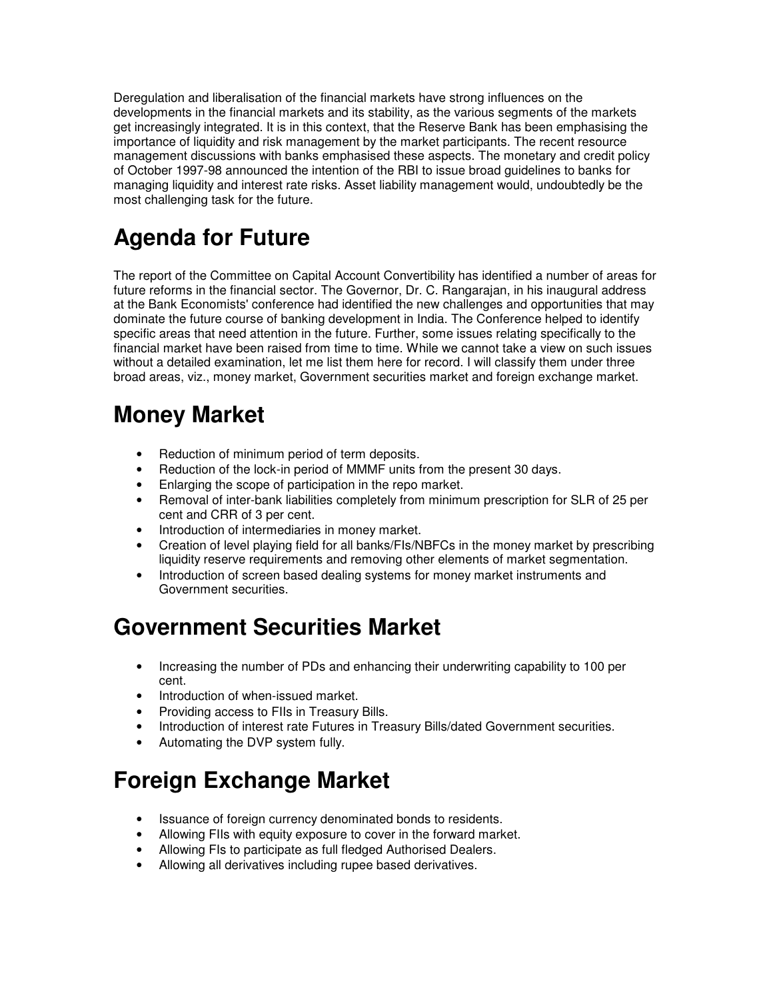Deregulation and liberalisation of the financial markets have strong influences on the developments in the financial markets and its stability, as the various segments of the markets get increasingly integrated. It is in this context, that the Reserve Bank has been emphasising the importance of liquidity and risk management by the market participants. The recent resource management discussions with banks emphasised these aspects. The monetary and credit policy of October 1997-98 announced the intention of the RBI to issue broad guidelines to banks for managing liquidity and interest rate risks. Asset liability management would, undoubtedly be the most challenging task for the future.

# **Agenda for Future**

The report of the Committee on Capital Account Convertibility has identified a number of areas for future reforms in the financial sector. The Governor, Dr. C. Rangarajan, in his inaugural address at the Bank Economists' conference had identified the new challenges and opportunities that may dominate the future course of banking development in India. The Conference helped to identify specific areas that need attention in the future. Further, some issues relating specifically to the financial market have been raised from time to time. While we cannot take a view on such issues without a detailed examination, let me list them here for record. I will classify them under three broad areas, viz., money market, Government securities market and foreign exchange market.

# **Money Market**

- Reduction of minimum period of term deposits.
- Reduction of the lock-in period of MMMF units from the present 30 days.
- Enlarging the scope of participation in the repo market.
- Removal of inter-bank liabilities completely from minimum prescription for SLR of 25 per cent and CRR of 3 per cent.
- Introduction of intermediaries in money market.
- Creation of level playing field for all banks/FIs/NBFCs in the money market by prescribing liquidity reserve requirements and removing other elements of market segmentation.
- Introduction of screen based dealing systems for money market instruments and Government securities.

## **Government Securities Market**

- Increasing the number of PDs and enhancing their underwriting capability to 100 per cent.
- Introduction of when-issued market.
- Providing access to FIIs in Treasury Bills.
- Introduction of interest rate Futures in Treasury Bills/dated Government securities.
- Automating the DVP system fully.

## **Foreign Exchange Market**

- Issuance of foreign currency denominated bonds to residents.
- Allowing FIIs with equity exposure to cover in the forward market.
- Allowing FIs to participate as full fledged Authorised Dealers.
- Allowing all derivatives including rupee based derivatives.